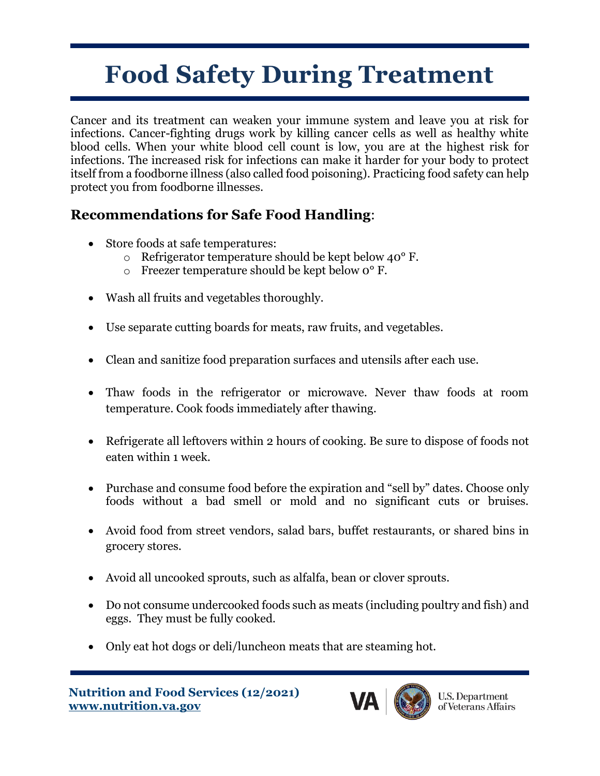## **Food Safety During Treatment**

Cancer and its treatment can weaken your immune system and leave you at risk for infections. Cancer-fighting drugs work by killing cancer cells as well as healthy white blood cells. When your white blood cell count is low, you are at the highest risk for infections. The increased risk for infections can make it harder for your body to protect itself from a foodborne illness (also called food poisoning). Practicing food safety can help protect you from foodborne illnesses.

## **Recommendations for Safe Food Handling**:

- Store foods at safe temperatures:
	- o Refrigerator temperature should be kept below 40° F.
	- o Freezer temperature should be kept below 0° F.
- Wash all fruits and vegetables thoroughly.
- Use separate cutting boards for meats, raw fruits, and vegetables.
- Clean and sanitize food preparation surfaces and utensils after each use.
- Thaw foods in the refrigerator or microwave. Never thaw foods at room temperature. Cook foods immediately after thawing.
- Refrigerate all leftovers within 2 hours of cooking. Be sure to dispose of foods not eaten within 1 week.
- Purchase and consume food before the expiration and "sell by" dates. Choose only foods without a bad smell or mold and no significant cuts or bruises.
- Avoid food from street vendors, salad bars, buffet restaurants, or shared bins in grocery stores.
- Avoid all uncooked sprouts, such as alfalfa, bean or clover sprouts.
- Do not consume undercooked foods such as meats (including poultry and fish) and eggs. They must be fully cooked.
- Only eat hot dogs or deli/luncheon meats that are steaming hot.